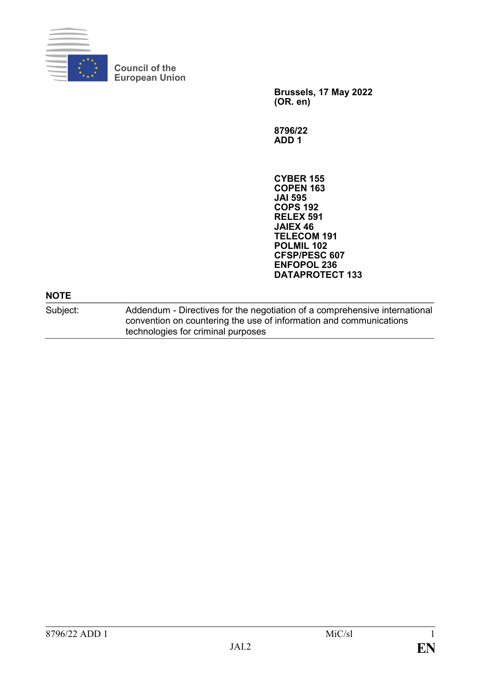

**Council of the European Union**

> **Brussels, 17 May 2022 (OR. en)**

**8796/22 ADD 1**

**CYBER 155 COPEN 163 JAI 595 COPS 192 RELEX 591 JAIEX 46 TELECOM 191 POLMIL 102 CFSP/PESC 607 ENFOPOL 236 DATAPROTECT 133**

## **NOTE**

Subject: Addendum - Directives for the negotiation of a comprehensive international convention on countering the use of information and communications technologies for criminal purposes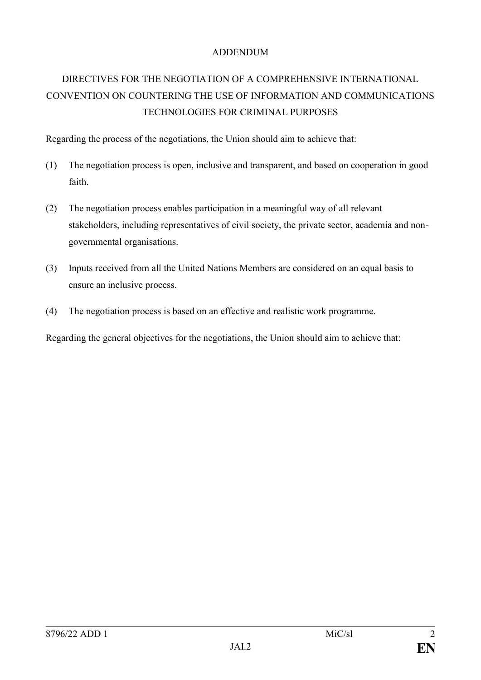## ADDENDUM

## DIRECTIVES FOR THE NEGOTIATION OF A COMPREHENSIVE INTERNATIONAL CONVENTION ON COUNTERING THE USE OF INFORMATION AND COMMUNICATIONS TECHNOLOGIES FOR CRIMINAL PURPOSES

Regarding the process of the negotiations, the Union should aim to achieve that:

- (1) The negotiation process is open, inclusive and transparent, and based on cooperation in good faith.
- (2) The negotiation process enables participation in a meaningful way of all relevant stakeholders, including representatives of civil society, the private sector, academia and nongovernmental organisations.
- (3) Inputs received from all the United Nations Members are considered on an equal basis to ensure an inclusive process.
- (4) The negotiation process is based on an effective and realistic work programme.

Regarding the general objectives for the negotiations, the Union should aim to achieve that: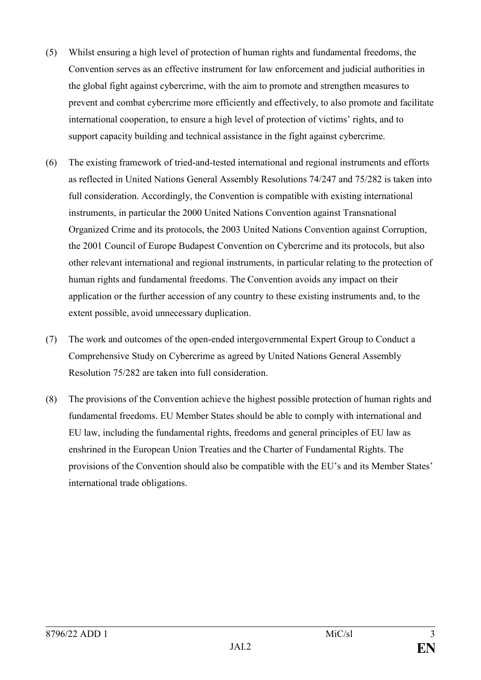- (5) Whilst ensuring a high level of protection of human rights and fundamental freedoms, the Convention serves as an effective instrument for law enforcement and judicial authorities in the global fight against cybercrime, with the aim to promote and strengthen measures to prevent and combat cybercrime more efficiently and effectively, to also promote and facilitate international cooperation, to ensure a high level of protection of victims' rights, and to support capacity building and technical assistance in the fight against cybercrime.
- (6) The existing framework of tried-and-tested international and regional instruments and efforts as reflected in United Nations General Assembly Resolutions 74/247 and 75/282 is taken into full consideration. Accordingly, the Convention is compatible with existing international instruments, in particular the 2000 United Nations Convention against Transnational Organized Crime and its protocols, the 2003 United Nations Convention against Corruption, the 2001 Council of Europe Budapest Convention on Cybercrime and its protocols, but also other relevant international and regional instruments, in particular relating to the protection of human rights and fundamental freedoms. The Convention avoids any impact on their application or the further accession of any country to these existing instruments and, to the extent possible, avoid unnecessary duplication.
- (7) The work and outcomes of the open-ended intergovernmental Expert Group to Conduct a Comprehensive Study on Cybercrime as agreed by United Nations General Assembly Resolution 75/282 are taken into full consideration.
- (8) The provisions of the Convention achieve the highest possible protection of human rights and fundamental freedoms. EU Member States should be able to comply with international and EU law, including the fundamental rights, freedoms and general principles of EU law as enshrined in the European Union Treaties and the Charter of Fundamental Rights. The provisions of the Convention should also be compatible with the EU's and its Member States' international trade obligations.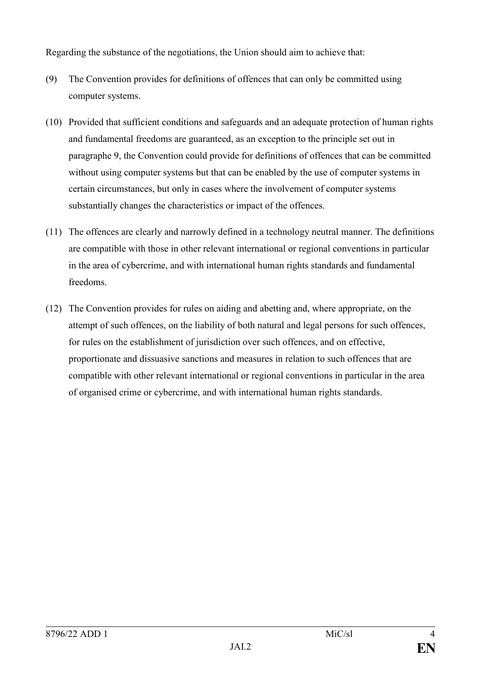Regarding the substance of the negotiations, the Union should aim to achieve that:

- (9) The Convention provides for definitions of offences that can only be committed using computer systems.
- (10) Provided that sufficient conditions and safeguards and an adequate protection of human rights and fundamental freedoms are guaranteed, as an exception to the principle set out in paragraphe 9, the Convention could provide for definitions of offences that can be committed without using computer systems but that can be enabled by the use of computer systems in certain circumstances, but only in cases where the involvement of computer systems substantially changes the characteristics or impact of the offences.
- (11) The offences are clearly and narrowly defined in a technology neutral manner. The definitions are compatible with those in other relevant international or regional conventions in particular in the area of cybercrime, and with international human rights standards and fundamental freedoms.
- (12) The Convention provides for rules on aiding and abetting and, where appropriate, on the attempt of such offences, on the liability of both natural and legal persons for such offences, for rules on the establishment of jurisdiction over such offences, and on effective, proportionate and dissuasive sanctions and measures in relation to such offences that are compatible with other relevant international or regional conventions in particular in the area of organised crime or cybercrime, and with international human rights standards.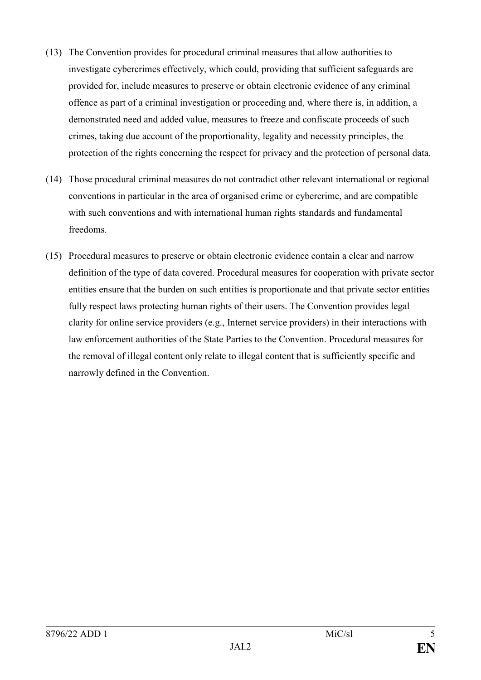- (13) The Convention provides for procedural criminal measures that allow authorities to investigate cybercrimes effectively, which could, providing that sufficient safeguards are provided for, include measures to preserve or obtain electronic evidence of any criminal offence as part of a criminal investigation or proceeding and, where there is, in addition, a demonstrated need and added value, measures to freeze and confiscate proceeds of such crimes, taking due account of the proportionality, legality and necessity principles, the protection of the rights concerning the respect for privacy and the protection of personal data.
- (14) Those procedural criminal measures do not contradict other relevant international or regional conventions in particular in the area of organised crime or cybercrime, and are compatible with such conventions and with international human rights standards and fundamental freedoms.
- (15) Procedural measures to preserve or obtain electronic evidence contain a clear and narrow definition of the type of data covered. Procedural measures for cooperation with private sector entities ensure that the burden on such entities is proportionate and that private sector entities fully respect laws protecting human rights of their users. The Convention provides legal clarity for online service providers (e.g., Internet service providers) in their interactions with law enforcement authorities of the State Parties to the Convention. Procedural measures for the removal of illegal content only relate to illegal content that is sufficiently specific and narrowly defined in the Convention.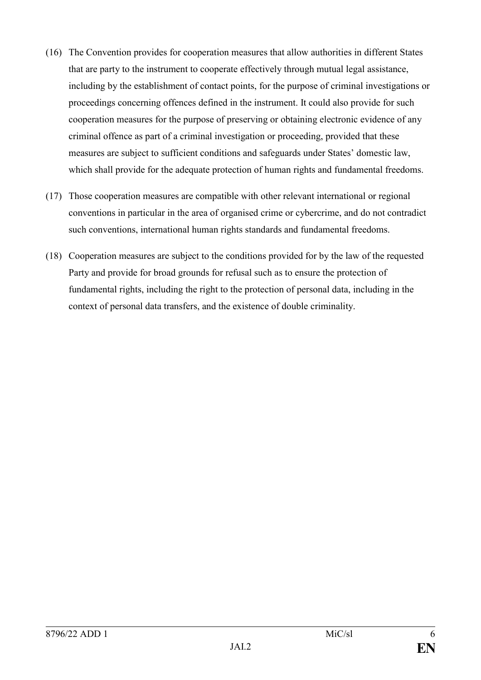- (16) The Convention provides for cooperation measures that allow authorities in different States that are party to the instrument to cooperate effectively through mutual legal assistance, including by the establishment of contact points, for the purpose of criminal investigations or proceedings concerning offences defined in the instrument. It could also provide for such cooperation measures for the purpose of preserving or obtaining electronic evidence of any criminal offence as part of a criminal investigation or proceeding, provided that these measures are subject to sufficient conditions and safeguards under States' domestic law, which shall provide for the adequate protection of human rights and fundamental freedoms.
- (17) Those cooperation measures are compatible with other relevant international or regional conventions in particular in the area of organised crime or cybercrime, and do not contradict such conventions, international human rights standards and fundamental freedoms.
- (18) Cooperation measures are subject to the conditions provided for by the law of the requested Party and provide for broad grounds for refusal such as to ensure the protection of fundamental rights, including the right to the protection of personal data, including in the context of personal data transfers, and the existence of double criminality.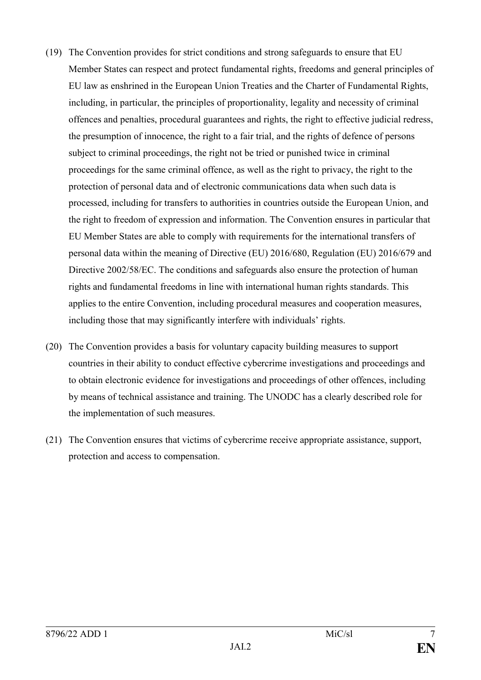- (19) The Convention provides for strict conditions and strong safeguards to ensure that EU Member States can respect and protect fundamental rights, freedoms and general principles of EU law as enshrined in the European Union Treaties and the Charter of Fundamental Rights, including, in particular, the principles of proportionality, legality and necessity of criminal offences and penalties, procedural guarantees and rights, the right to effective judicial redress, the presumption of innocence, the right to a fair trial, and the rights of defence of persons subject to criminal proceedings, the right not be tried or punished twice in criminal proceedings for the same criminal offence, as well as the right to privacy, the right to the protection of personal data and of electronic communications data when such data is processed, including for transfers to authorities in countries outside the European Union, and the right to freedom of expression and information. The Convention ensures in particular that EU Member States are able to comply with requirements for the international transfers of personal data within the meaning of Directive (EU) 2016/680, Regulation (EU) 2016/679 and Directive 2002/58/EC. The conditions and safeguards also ensure the protection of human rights and fundamental freedoms in line with international human rights standards. This applies to the entire Convention, including procedural measures and cooperation measures, including those that may significantly interfere with individuals' rights.
- (20) The Convention provides a basis for voluntary capacity building measures to support countries in their ability to conduct effective cybercrime investigations and proceedings and to obtain electronic evidence for investigations and proceedings of other offences, including by means of technical assistance and training. The UNODC has a clearly described role for the implementation of such measures.
- (21) The Convention ensures that victims of cybercrime receive appropriate assistance, support, protection and access to compensation.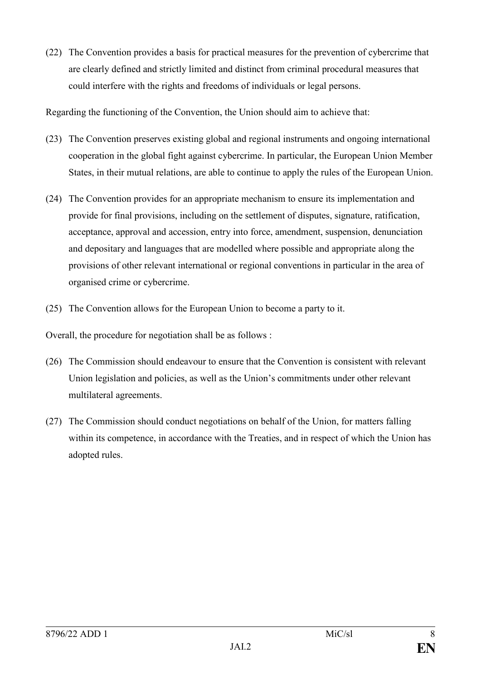(22) The Convention provides a basis for practical measures for the prevention of cybercrime that are clearly defined and strictly limited and distinct from criminal procedural measures that could interfere with the rights and freedoms of individuals or legal persons.

Regarding the functioning of the Convention, the Union should aim to achieve that:

- (23) The Convention preserves existing global and regional instruments and ongoing international cooperation in the global fight against cybercrime. In particular, the European Union Member States, in their mutual relations, are able to continue to apply the rules of the European Union.
- (24) The Convention provides for an appropriate mechanism to ensure its implementation and provide for final provisions, including on the settlement of disputes, signature, ratification, acceptance, approval and accession, entry into force, amendment, suspension, denunciation and depositary and languages that are modelled where possible and appropriate along the provisions of other relevant international or regional conventions in particular in the area of organised crime or cybercrime.
- (25) The Convention allows for the European Union to become a party to it.

Overall, the procedure for negotiation shall be as follows :

- (26) The Commission should endeavour to ensure that the Convention is consistent with relevant Union legislation and policies, as well as the Union's commitments under other relevant multilateral agreements.
- (27) The Commission should conduct negotiations on behalf of the Union, for matters falling within its competence, in accordance with the Treaties, and in respect of which the Union has adopted rules.